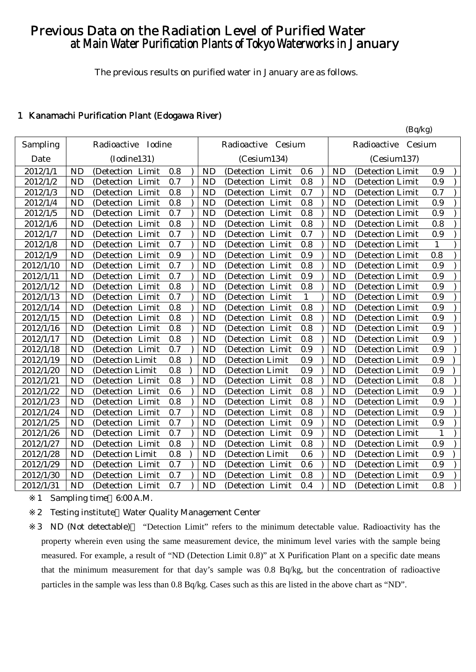# Previous Data on the Radiation Level of Purified Water at Main Water Purification Plants of Tokyo Waterworks in January

The previous results on purified water in January are as follows.

 $(R_0/k_0)$ 

### 1 Kanamachi Purification Plant (Edogawa River)

| Sampling  |           | Radioactive Iodine  |     |           | Radioactive Cesium   |     |           | (<br>Radioactive<br>Cesium |              |
|-----------|-----------|---------------------|-----|-----------|----------------------|-----|-----------|----------------------------|--------------|
| Date      |           | (Iodine131)         |     |           | (Cesium134)          |     |           | (Cesium137)                |              |
| 2012/1/1  | <b>ND</b> | (Detection Limit    | 0.8 | <b>ND</b> | (Detection Limit     | 0.6 | <b>ND</b> | (Detection Limit)          | 0.9          |
| 2012/1/2  | <b>ND</b> | (Detection Limit    | 0.7 | <b>ND</b> | (Detection<br>Limit  | 0.8 | <b>ND</b> | (Detection Limit)          | 0.9          |
| 2012/1/3  | <b>ND</b> | (Detection Limit    | 0.8 | <b>ND</b> | (Detection<br>Limit  | 0.7 | <b>ND</b> | (Detection Limit           | 0.7          |
| 2012/1/4  | <b>ND</b> | (Detection Limit    | 0.8 | <b>ND</b> | (Detection Limit     | 0.8 | <b>ND</b> | (Detection Limit)          | 0.9          |
| 2012/1/5  | <b>ND</b> | (Detection Limit    | 0.7 | <b>ND</b> | (Detection Limit     | 0.8 | <b>ND</b> | (Detection Limit           | 0.9          |
| 2012/1/6  | <b>ND</b> | (Detection Limit    | 0.8 | <b>ND</b> | (Detection Limit     | 0.8 | <b>ND</b> | (Detection Limit           | 0.8          |
| 2012/1/7  | <b>ND</b> | (Detection Limit    | 0.7 | <b>ND</b> | (Detection Limit     | 0.7 | <b>ND</b> | (Detection Limit)          | 0.9          |
| 2012/1/8  | <b>ND</b> | (Detection Limit    | 0.7 | <b>ND</b> | (Detection Limit     | 0.8 | <b>ND</b> | (Detection Limit           | $\mathbf{1}$ |
| 2012/1/9  | <b>ND</b> | (Detection Limit    | 0.9 | <b>ND</b> | (Detection Limit     | 0.9 | <b>ND</b> | (Detection Limit           | 0.8          |
| 2012/1/10 | <b>ND</b> | (Detection Limit    | 0.7 | <b>ND</b> | (Detection Limit     | 0.8 | <b>ND</b> | (Detection Limit)          | 0.9          |
| 2012/1/11 | <b>ND</b> | (Detection Limit    | 0.7 | <b>ND</b> | Limit<br>(Detection) | 0.9 | <b>ND</b> | (Detection Limit)          | 0.9          |
| 2012/1/12 | <b>ND</b> | Limit<br>(Detection | 0.8 | <b>ND</b> | Limit<br>(Detection  | 0.8 | <b>ND</b> | (Detection Limit)          | 0.9          |
| 2012/1/13 | <b>ND</b> | (Detection<br>Limit | 0.7 | <b>ND</b> | (Detection<br>Limit  | 1   | <b>ND</b> | (Detection Limit           | 0.9          |
| 2012/1/14 | <b>ND</b> | (Detection<br>Limit | 0.8 | <b>ND</b> | (Detection<br>Limit  | 0.8 | <b>ND</b> | (Detection Limit           | 0.9          |
| 2012/1/15 | <b>ND</b> | (Detection Limit    | 0.8 | <b>ND</b> | (Detection Limit     | 0.8 | <b>ND</b> | (Detection Limit)          | 0.9          |
| 2012/1/16 | <b>ND</b> | (Detection Limit    | 0.8 | <b>ND</b> | (Detection Limit     | 0.8 | <b>ND</b> | (Detection Limit           | 0.9          |
| 2012/1/17 | <b>ND</b> | (Detection Limit    | 0.8 | <b>ND</b> | (Detection Limit     | 0.8 | <b>ND</b> | (Detection Limit)          | 0.9          |
| 2012/1/18 | <b>ND</b> | (Detection Limit    | 0.7 | <b>ND</b> | (Detection Limit     | 0.9 | <b>ND</b> | (Detection Limit)          | 0.9          |
| 2012/1/19 | <b>ND</b> | (Detection Limit    | 0.8 | <b>ND</b> | (Detection Limit     | 0.9 | <b>ND</b> | (Detection Limit           | 0.9          |
| 2012/1/20 | <b>ND</b> | (Detection Limit    | 0.8 | <b>ND</b> | (Detection Limit     | 0.9 | <b>ND</b> | (Detection Limit)          | 0.9          |
| 2012/1/21 | <b>ND</b> | (Detection Limit    | 0.8 | <b>ND</b> | (Detection Limit     | 0.8 | <b>ND</b> | (Detection Limit)          | 0.8          |
| 2012/1/22 | <b>ND</b> | (Detection Limit    | 0.6 | <b>ND</b> | (Detection Limit     | 0.8 | <b>ND</b> | (Detection Limit)          | 0.9          |
| 2012/1/23 | <b>ND</b> | Limit<br>(Detection | 0.8 | <b>ND</b> | Limit<br>(Detection) | 0.8 | <b>ND</b> | (Detection Limit           | 0.9          |
| 2012/1/24 | <b>ND</b> | (Detection<br>Limit | 0.7 | <b>ND</b> | (Detection)<br>Limit | 0.8 | <b>ND</b> | (Detection Limit           | 0.9          |
| 2012/1/25 | <b>ND</b> | Limit<br>(Detection | 0.7 | <b>ND</b> | Limit<br>(Detection  | 0.9 | <b>ND</b> | (Detection Limit           | 0.9          |
| 2012/1/26 | <b>ND</b> | (Detection Limit    | 0.7 | <b>ND</b> | (Detection Limit     | 0.9 | <b>ND</b> | (Detection Limit           | $\mathbf{1}$ |
| 2012/1/27 | <b>ND</b> | (Detection Limit    | 0.8 | <b>ND</b> | (Detection Limit     | 0.8 | <b>ND</b> | (Detection Limit)          | 0.9          |
| 2012/1/28 | <b>ND</b> | (Detection Limit    | 0.8 | <b>ND</b> | (Detection Limit     | 0.6 | <b>ND</b> | (Detection Limit           | 0.9          |
| 2012/1/29 | <b>ND</b> | (Detection Limit    | 0.7 | <b>ND</b> | (Detection Limit     | 0.6 | <b>ND</b> | (Detection Limit)          | 0.9          |
| 2012/1/30 | <b>ND</b> | (Detection Limit    | 0.7 | <b>ND</b> | (Detection Limit     | 0.8 | <b>ND</b> | (Detection Limit           | 0.9          |
| 2012/1/31 | <b>ND</b> | (Detection Limit    | 0.7 | <b>ND</b> | (Detection Limit     | 0.4 | <b>ND</b> | (Detection Limit           | 0.8          |

1 Sampling time 6:00 A.M.

2 Testing institute Water Quality Management Center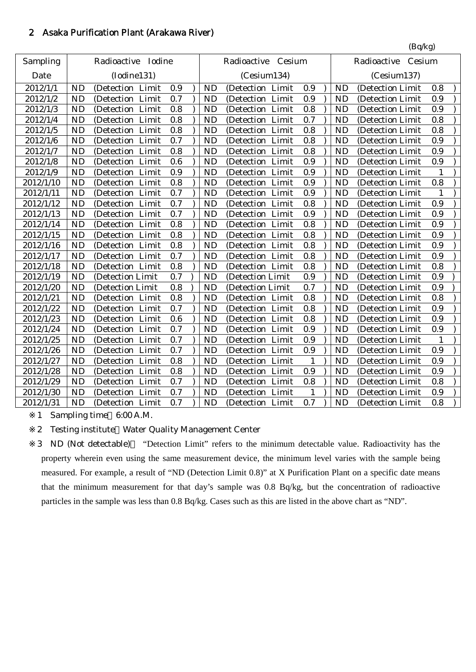# 2 Asaka Purification Plant (Arakawa River)

|           |           |                       |         |           |                    |              |           | (Bq/kg)               |     |  |
|-----------|-----------|-----------------------|---------|-----------|--------------------|--------------|-----------|-----------------------|-----|--|
| Sampling  |           | Radioactive<br>Iodine |         |           | Radioactive Cesium |              |           | Cesium<br>Radioactive |     |  |
| Date      |           | (Iodine131)           |         |           | (Cesium134)        |              |           | (Cesium137)           |     |  |
| 2012/1/1  | <b>ND</b> | (Detection Limit      | 0.9     | <b>ND</b> | (Detection Limit   | 0.9          | <b>ND</b> | (Detection Limit      | 0.8 |  |
| 2012/1/2  | <b>ND</b> | Limit<br>(Detection)  | 0.7     | <b>ND</b> | (Detection Limit   | 0.9          | <b>ND</b> | (Detection Limit      | 0.9 |  |
| 2012/1/3  | <b>ND</b> | (Detection Limit      | 0.8     | <b>ND</b> | (Detection Limit   | 0.8          | <b>ND</b> | (Detection Limit      | 0.9 |  |
| 2012/1/4  | <b>ND</b> | (Detection<br>Limit   | 0.8     | <b>ND</b> | (Detection Limit   | 0.7          | <b>ND</b> | (Detection Limit      | 0.8 |  |
| 2012/1/5  | <b>ND</b> | (Detection Limit      | 0.8     | <b>ND</b> | (Detection Limit   | 0.8          | <b>ND</b> | (Detection Limit      | 0.8 |  |
| 2012/1/6  | <b>ND</b> | (Detection Limit      | 0.7     | <b>ND</b> | (Detection Limit   | 0.8          | <b>ND</b> | (Detection Limit      | 0.9 |  |
| 2012/1/7  | <b>ND</b> | (Detection Limit      | 0.8     | <b>ND</b> | (Detection Limit   | 0.8          | <b>ND</b> | (Detection Limit      | 0.9 |  |
| 2012/1/8  | <b>ND</b> | Limit<br>(Detection   | 0.6     | <b>ND</b> | (Detection Limit   | 0.9          | <b>ND</b> | (Detection Limit      | 0.9 |  |
| 2012/1/9  | <b>ND</b> | Limit<br>(Detection   | 0.9     | <b>ND</b> | (Detection Limit   | 0.9          | <b>ND</b> | (Detection Limit      | 1   |  |
| 2012/1/10 | <b>ND</b> | (Detection Limit      | 0.8     | <b>ND</b> | (Detection Limit   | 0.9          | <b>ND</b> | (Detection Limit      | 0.8 |  |
| 2012/1/11 | <b>ND</b> | (Detection<br>Limit   | 0.7     | <b>ND</b> | (Detection Limit   | 0.9          | <b>ND</b> | (Detection Limit      | 1   |  |
| 2012/1/12 | <b>ND</b> | (Detection Limit      | 0.7     | <b>ND</b> | (Detection Limit   | 0.8          | <b>ND</b> | (Detection Limit      | 0.9 |  |
| 2012/1/13 | <b>ND</b> | (Detection Limit      | 0.7     | <b>ND</b> | (Detection Limit   | 0.9          | <b>ND</b> | (Detection Limit      | 0.9 |  |
| 2012/1/14 | <b>ND</b> | (Detection Limit      | $0.8\,$ | <b>ND</b> | (Detection Limit   | 0.8          | <b>ND</b> | (Detection Limit      | 0.9 |  |
| 2012/1/15 | <b>ND</b> | (Detection Limit      | 0.8     | <b>ND</b> | (Detection Limit   | 0.8          | <b>ND</b> | (Detection Limit      | 0.9 |  |
| 2012/1/16 | <b>ND</b> | Limit<br>(Detection   | 0.8     | <b>ND</b> | (Detection Limit   | 0.8          | <b>ND</b> | (Detection Limit      | 0.9 |  |
| 2012/1/17 | <b>ND</b> | (Detection Limit      | 0.7     | <b>ND</b> | (Detection Limit   | 0.8          | <b>ND</b> | (Detection Limit      | 0.9 |  |
| 2012/1/18 | <b>ND</b> | (Detection Limit      | 0.8     | <b>ND</b> | (Detection Limit   | 0.8          | <b>ND</b> | (Detection Limit      | 0.8 |  |
| 2012/1/19 | <b>ND</b> | (Detection Limit      | 0.7     | <b>ND</b> | (Detection Limit   | 0.9          | <b>ND</b> | (Detection Limit      | 0.9 |  |
| 2012/1/20 | <b>ND</b> | (Detection Limit      | 0.8     | <b>ND</b> | (Detection Limit   | 0.7          | <b>ND</b> | (Detection Limit      | 0.9 |  |
| 2012/1/21 | <b>ND</b> | (Detection Limit      | 0.8     | <b>ND</b> | (Detection Limit   | 0.8          | <b>ND</b> | (Detection Limit      | 0.8 |  |
| 2012/1/22 | <b>ND</b> | (Detection Limit      | 0.7     | <b>ND</b> | (Detection Limit   | 0.8          | <b>ND</b> | (Detection Limit      | 0.9 |  |
| 2012/1/23 | <b>ND</b> | Limit<br>(Detection   | 0.6     | <b>ND</b> | (Detection Limit   | 0.8          | <b>ND</b> | (Detection Limit      | 0.9 |  |
| 2012/1/24 | <b>ND</b> | (Detection Limit      | 0.7     | <b>ND</b> | (Detection Limit   | 0.9          | <b>ND</b> | (Detection Limit      | 0.9 |  |
| 2012/1/25 | <b>ND</b> | (Detection<br>Limit   | 0.7     | <b>ND</b> | (Detection Limit   | 0.9          | <b>ND</b> | (Detection Limit      |     |  |
| 2012/1/26 | <b>ND</b> | (Detection<br>Limit   | 0.7     | <b>ND</b> | (Detection Limit   | 0.9          | <b>ND</b> | (Detection Limit      | 0.9 |  |
| 2012/1/27 | <b>ND</b> | (Detection Limit      | 0.8     | <b>ND</b> | (Detection Limit   | $\mathbf{1}$ | <b>ND</b> | (Detection Limit      | 0.9 |  |
| 2012/1/28 | <b>ND</b> | (Detection Limit      | 0.8     | <b>ND</b> | (Detection Limit   | 0.9          | <b>ND</b> | (Detection Limit      | 0.9 |  |
| 2012/1/29 | <b>ND</b> | (Detection Limit      | 0.7     | <b>ND</b> | (Detection Limit   | 0.8          | <b>ND</b> | (Detection Limit      | 0.8 |  |
| 2012/1/30 | <b>ND</b> | (Detection Limit      | 0.7     | <b>ND</b> | (Detection Limit   | 1            | <b>ND</b> | (Detection Limit      | 0.9 |  |
| 2012/1/31 | <b>ND</b> | (Detection Limit      | 0.7     | <b>ND</b> | (Detection Limit   | 0.7          | <b>ND</b> | (Detection Limit      | 0.8 |  |

1 Sampling time 6:00 A.M.

2 Testing institute Water Quality Management Center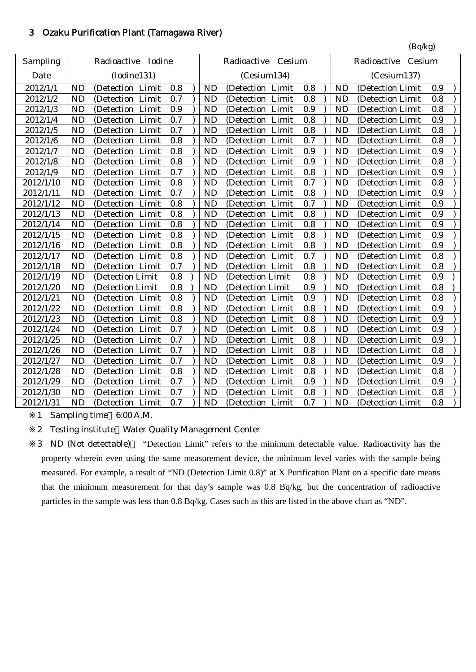#### 3 Ozaku Purification Plant (Tamagawa River)

|           |           |                       |     |           |                     |     |           | (Bq/kg)               |     |
|-----------|-----------|-----------------------|-----|-----------|---------------------|-----|-----------|-----------------------|-----|
| Sampling  |           | Radioactive<br>Iodine |     |           | Radioactive Cesium  |     |           | Radioactive<br>Cesium |     |
| Date      |           | (Iodine131)           |     |           | (Cesium134)         |     |           | (Cesium137)           |     |
| 2012/1/1  | ND        | (Detection Limit      | 0.8 | <b>ND</b> | (Detection Limit    | 0.8 | <b>ND</b> | (Detection Limit      | 0.9 |
| 2012/1/2  | <b>ND</b> | (Detection Limit      | 0.7 | <b>ND</b> | (Detection Limit    | 0.8 | <b>ND</b> | (Detection Limit      | 0.8 |
| 2012/1/3  | <b>ND</b> | (Detection Limit      | 0.9 | <b>ND</b> | (Detection Limit    | 0.9 | <b>ND</b> | (Detection Limit      | 0.8 |
| 2012/1/4  | <b>ND</b> | (Detection Limit      | 0.7 | <b>ND</b> | (Detection Limit    | 0.8 | <b>ND</b> | (Detection Limit      | 0.9 |
| 2012/1/5  | <b>ND</b> | (Detection Limit      | 0.7 | <b>ND</b> | (Detection Limit    | 0.8 | <b>ND</b> | (Detection Limit      | 0.8 |
| 2012/1/6  | <b>ND</b> | (Detection Limit      | 0.8 | <b>ND</b> | (Detection Limit    | 0.7 | <b>ND</b> | (Detection Limit      | 0.8 |
| 2012/1/7  | <b>ND</b> | (Detection Limit      | 0.8 | <b>ND</b> | (Detection Limit    | 0.9 | <b>ND</b> | (Detection Limit      | 0.9 |
| 2012/1/8  | <b>ND</b> | (Detection Limit      | 0.8 | <b>ND</b> | (Detection Limit    | 0.9 | <b>ND</b> | (Detection Limit      | 0.8 |
| 2012/1/9  | <b>ND</b> | (Detection<br>Limit   | 0.7 | <b>ND</b> | (Detection Limit    | 0.8 | <b>ND</b> | (Detection Limit      | 0.9 |
| 2012/1/10 | <b>ND</b> | (Detection<br>Limit   | 0.8 | <b>ND</b> | (Detection Limit    | 0.7 | <b>ND</b> | (Detection Limit      | 0.8 |
| 2012/1/11 | <b>ND</b> | (Detection Limit      | 0.7 | <b>ND</b> | (Detection Limit    | 0.8 | <b>ND</b> | (Detection Limit      | 0.9 |
| 2012/1/12 | <b>ND</b> | (Detection Limit      | 0.8 | <b>ND</b> | (Detection Limit    | 0.7 | <b>ND</b> | (Detection Limit      | 0.9 |
| 2012/1/13 | <b>ND</b> | (Detection Limit      | 0.8 | <b>ND</b> | (Detection Limit    | 0.8 | <b>ND</b> | (Detection Limit      | 0.9 |
| 2012/1/14 | <b>ND</b> | Limit<br>(Detection)  | 0.8 | <b>ND</b> | Limit<br>(Detection | 0.8 | <b>ND</b> | (Detection Limit      | 0.9 |
| 2012/1/15 | <b>ND</b> | (Detection Limit      | 0.8 | <b>ND</b> | (Detection Limit    | 0.8 | <b>ND</b> | (Detection Limit      | 0.9 |
| 2012/1/16 | <b>ND</b> | (Detection Limit      | 0.8 | <b>ND</b> | (Detection Limit    | 0.8 | <b>ND</b> | (Detection Limit      | 0.9 |
| 2012/1/17 | <b>ND</b> | (Detection<br>Limit   | 0.8 | <b>ND</b> | (Detection Limit    | 0.7 | <b>ND</b> | (Detection Limit      | 0.8 |
| 2012/1/18 | <b>ND</b> | (Detection Limit      | 0.7 | <b>ND</b> | (Detection Limit    | 0.8 | <b>ND</b> | (Detection Limit      | 0.8 |
| 2012/1/19 | <b>ND</b> | (Detection Limit      | 0.8 | <b>ND</b> | (Detection Limit    | 0.8 | <b>ND</b> | (Detection Limit      | 0.9 |
| 2012/1/20 | <b>ND</b> | (Detection Limit      | 0.8 | <b>ND</b> | (Detection Limit    | 0.9 | <b>ND</b> | (Detection Limit      | 0.8 |
| 2012/1/21 | <b>ND</b> | (Detection Limit      | 0.8 | <b>ND</b> | (Detection Limit    | 0.9 | <b>ND</b> | (Detection Limit      | 0.8 |
| 2012/1/22 | <b>ND</b> | Limit<br>(Detection   | 0.8 | <b>ND</b> | Limit<br>(Detection | 0.8 | <b>ND</b> | (Detection Limit      | 0.9 |
| 2012/1/23 | <b>ND</b> | (Detection Limit      | 0.8 | <b>ND</b> | (Detection Limit    | 0.8 | <b>ND</b> | (Detection Limit      | 0.9 |
| 2012/1/24 | <b>ND</b> | (Detection Limit      | 0.7 | <b>ND</b> | (Detection Limit    | 0.8 | <b>ND</b> | (Detection Limit      | 0.9 |
| 2012/1/25 | <b>ND</b> | (Detection<br>Limit   | 0.7 | <b>ND</b> | (Detection Limit    | 0.8 | <b>ND</b> | (Detection Limit      | 0.9 |
| 2012/1/26 | <b>ND</b> | (Detection<br>Limit   | 0.7 | <b>ND</b> | (Detection Limit    | 0.8 | <b>ND</b> | (Detection Limit      | 0.8 |
| 2012/1/27 | <b>ND</b> | (Detection Limit      | 0.7 | <b>ND</b> | (Detection Limit    | 0.8 | <b>ND</b> | (Detection Limit      | 0.9 |
| 2012/1/28 | <b>ND</b> | (Detection Limit      | 0.8 | <b>ND</b> | (Detection Limit    | 0.8 | <b>ND</b> | (Detection Limit      | 0.8 |
| 2012/1/29 | <b>ND</b> | (Detection Limit      | 0.7 | <b>ND</b> | (Detection Limit    | 0.9 | <b>ND</b> | (Detection Limit      | 0.9 |
| 2012/1/30 | <b>ND</b> | (Detection Limit      | 0.7 | <b>ND</b> | (Detection Limit    | 0.8 | <b>ND</b> | (Detection Limit      | 0.8 |
| 2012/1/31 | <b>ND</b> | (Detection Limit      | 0.7 | <b>ND</b> | (Detection Limit    | 0.7 | <b>ND</b> | (Detection Limit      | 0.8 |

1 Sampling time 6:00 A.M.

2 Testing institute Water Quality Management Center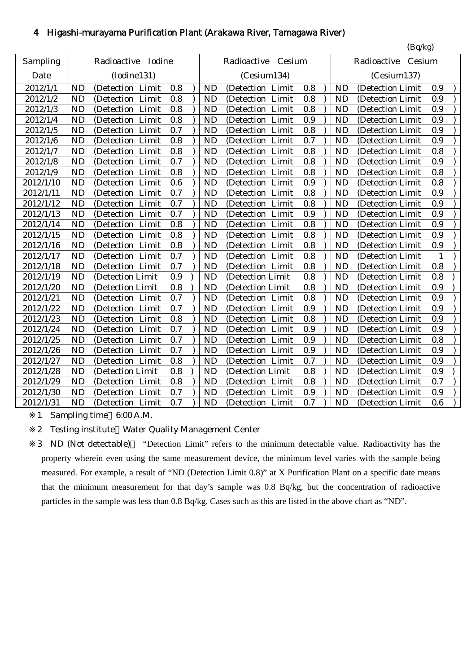# 4 Higashi-murayama Purification Plant (Arakawa River, Tamagawa River)

|           |           |                     |     |                |                     |     |             | (Bq/kg)               |     |
|-----------|-----------|---------------------|-----|----------------|---------------------|-----|-------------|-----------------------|-----|
| Sampling  |           | Radioactive Iodine  |     |                | Radioactive Cesium  |     |             | Cesium<br>Radioactive |     |
| Date      |           | (Iodine131)         |     |                | (Cesium134)         |     | (Cesium137) |                       |     |
| 2012/1/1  | <b>ND</b> | (Detection Limit    | 0.8 | N <sub>D</sub> | (Detection Limit    | 0.8 | ND          | (Detection Limit      | 0.9 |
| 2012/1/2  | <b>ND</b> | (Detection Limit    | 0.8 | <b>ND</b>      | (Detection Limit    | 0.8 | <b>ND</b>   | (Detection Limit      | 0.9 |
| 2012/1/3  | <b>ND</b> | (Detection Limit    | 0.8 | <b>ND</b>      | (Detection Limit    | 0.8 | <b>ND</b>   | (Detection Limit      | 0.9 |
| 2012/1/4  | <b>ND</b> | (Detection Limit    | 0.8 | <b>ND</b>      | (Detection Limit    | 0.9 | <b>ND</b>   | (Detection Limit      | 0.9 |
| 2012/1/5  | <b>ND</b> | (Detection Limit    | 0.7 | <b>ND</b>      | (Detection Limit    | 0.8 | <b>ND</b>   | (Detection Limit      | 0.9 |
| 2012/1/6  | <b>ND</b> | Limit<br>(Detection | 0.8 | <b>ND</b>      | Limit<br>(Detection | 0.7 | <b>ND</b>   | (Detection Limit      | 0.9 |
| 2012/1/7  | <b>ND</b> | (Detection Limit    | 0.8 | <b>ND</b>      | Limit<br>(Detection | 0.8 | <b>ND</b>   | (Detection Limit      | 0.8 |
| 2012/1/8  | <b>ND</b> | (Detection Limit    | 0.7 | <b>ND</b>      | (Detection Limit    | 0.8 | <b>ND</b>   | (Detection Limit      | 0.9 |
| 2012/1/9  | <b>ND</b> | (Detection Limit    | 0.8 | <b>ND</b>      | (Detection Limit    | 0.8 | <b>ND</b>   | (Detection Limit      | 0.8 |
| 2012/1/10 | <b>ND</b> | (Detection<br>Limit | 0.6 | <b>ND</b>      | (Detection Limit    | 0.9 | <b>ND</b>   | (Detection Limit      | 0.8 |
| 2012/1/11 | <b>ND</b> | (Detection Limit    | 0.7 | <b>ND</b>      | (Detection Limit    | 0.8 | <b>ND</b>   | (Detection Limit      | 0.9 |
| 2012/1/12 | <b>ND</b> | (Detection Limit    | 0.7 | <b>ND</b>      | (Detection Limit    | 0.8 | <b>ND</b>   | (Detection Limit      | 0.9 |
| 2012/1/13 | <b>ND</b> | (Detection Limit    | 0.7 | <b>ND</b>      | (Detection Limit    | 0.9 | <b>ND</b>   | (Detection Limit      | 0.9 |
| 2012/1/14 | <b>ND</b> | (Detection Limit    | 0.8 | <b>ND</b>      | (Detection Limit    | 0.8 | <b>ND</b>   | (Detection Limit      | 0.9 |
| 2012/1/15 | <b>ND</b> | (Detection Limit    | 0.8 | <b>ND</b>      | (Detection Limit    | 0.8 | <b>ND</b>   | (Detection Limit      | 0.9 |
| 2012/1/16 | <b>ND</b> | (Detection Limit    | 0.8 | <b>ND</b>      | (Detection Limit    | 0.8 | <b>ND</b>   | (Detection Limit      | 0.9 |
| 2012/1/17 | <b>ND</b> | (Detection Limit    | 0.7 | <b>ND</b>      | (Detection Limit    | 0.8 | <b>ND</b>   | (Detection Limit      | 1   |
| 2012/1/18 | <b>ND</b> | (Detection Limit    | 0.7 | <b>ND</b>      | (Detection Limit    | 0.8 | <b>ND</b>   | (Detection Limit      | 0.8 |
| 2012/1/19 | <b>ND</b> | (Detection Limit    | 0.9 | <b>ND</b>      | (Detection Limit    | 0.8 | <b>ND</b>   | (Detection Limit      | 0.8 |
| 2012/1/20 | <b>ND</b> | (Detection Limit    | 0.8 | <b>ND</b>      | (Detection Limit    | 0.8 | <b>ND</b>   | (Detection Limit      | 0.9 |
| 2012/1/21 | <b>ND</b> | (Detection Limit    | 0.7 | <b>ND</b>      | (Detection Limit    | 0.8 | <b>ND</b>   | (Detection Limit      | 0.9 |
| 2012/1/22 | <b>ND</b> | (Detection Limit    | 0.7 | <b>ND</b>      | (Detection Limit    | 0.9 | <b>ND</b>   | (Detection Limit      | 0.9 |
| 2012/1/23 | <b>ND</b> | (Detection Limit    | 0.8 | <b>ND</b>      | (Detection Limit    | 0.8 | <b>ND</b>   | (Detection Limit      | 0.9 |
| 2012/1/24 | <b>ND</b> | (Detection Limit    | 0.7 | <b>ND</b>      | (Detection Limit    | 0.9 | <b>ND</b>   | (Detection Limit      | 0.9 |
| 2012/1/25 | <b>ND</b> | (Detection Limit    | 0.7 | <b>ND</b>      | (Detection Limit    | 0.9 | <b>ND</b>   | (Detection Limit      | 0.8 |
| 2012/1/26 | <b>ND</b> | (Detection Limit    | 0.7 | <b>ND</b>      | (Detection Limit    | 0.9 | <b>ND</b>   | (Detection Limit      | 0.9 |
| 2012/1/27 | <b>ND</b> | (Detection Limit    | 0.8 | <b>ND</b>      | (Detection Limit    | 0.7 | <b>ND</b>   | (Detection Limit      | 0.9 |
| 2012/1/28 | <b>ND</b> | (Detection Limit    | 0.8 | <b>ND</b>      | (Detection Limit    | 0.8 | <b>ND</b>   | (Detection Limit      | 0.9 |
| 2012/1/29 | <b>ND</b> | (Detection Limit    | 0.8 | <b>ND</b>      | (Detection Limit    | 0.8 | <b>ND</b>   | (Detection Limit      | 0.7 |
| 2012/1/30 | <b>ND</b> | (Detection Limit    | 0.7 | <b>ND</b>      | (Detection Limit    | 0.9 | <b>ND</b>   | (Detection Limit      | 0.9 |
| 2012/1/31 | <b>ND</b> | (Detection Limit    | 0.7 | <b>ND</b>      | (Detection Limit    | 0.7 | <b>ND</b>   | (Detection Limit      | 0.6 |

1 Sampling time 6:00 A.M.

2 Testing institute Water Quality Management Center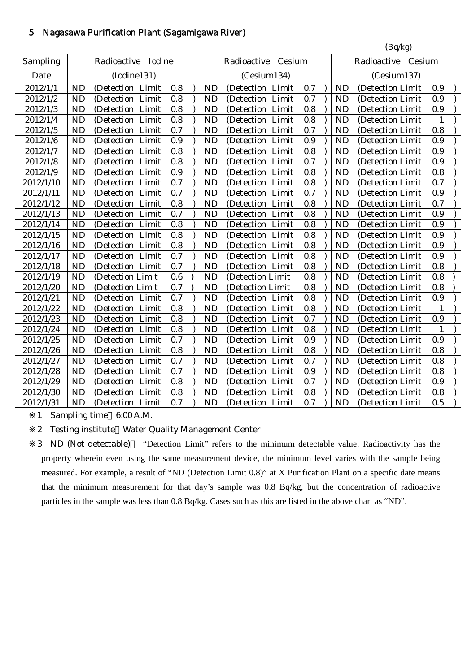# 5 Nagasawa Purification Plant (Sagamigawa River)

|           |           |                     |     |           |                     |     |           | (Bq/kg)            |              |  |
|-----------|-----------|---------------------|-----|-----------|---------------------|-----|-----------|--------------------|--------------|--|
| Sampling  |           | Radioactive Iodine  |     |           | Radioactive Cesium  |     |           | Radioactive Cesium |              |  |
| Date      |           | (Iodine131)         |     |           | (Cesium134)         |     |           | (Cesium137)        |              |  |
| 2012/1/1  | <b>ND</b> | (Detection Limit    | 0.8 | <b>ND</b> | (Detection Limit    | 0.7 | <b>ND</b> | (Detection Limit   | 0.9          |  |
| 2012/1/2  | <b>ND</b> | (Detection<br>Limit | 0.8 | <b>ND</b> | (Detection<br>Limit | 0.7 | <b>ND</b> | (Detection Limit   | 0.9          |  |
| 2012/1/3  | <b>ND</b> | (Detection Limit    | 0.8 | <b>ND</b> | (Detection Limit    | 0.8 | <b>ND</b> | (Detection Limit   | 0.9          |  |
| 2012/1/4  | <b>ND</b> | (Detection Limit    | 0.8 | <b>ND</b> | (Detection Limit    | 0.8 | <b>ND</b> | (Detection Limit   | 1            |  |
| 2012/1/5  | <b>ND</b> | (Detection Limit    | 0.7 | <b>ND</b> | (Detection Limit    | 0.7 | <b>ND</b> | (Detection Limit   | 0.8          |  |
| 2012/1/6  | <b>ND</b> | (Detection Limit    | 0.9 | <b>ND</b> | (Detection Limit    | 0.9 | <b>ND</b> | (Detection Limit   | 0.9          |  |
| 2012/1/7  | <b>ND</b> | (Detection Limit    | 0.8 | <b>ND</b> | (Detection Limit    | 0.8 | <b>ND</b> | (Detection Limit   | 0.9          |  |
| 2012/1/8  | <b>ND</b> | Limit<br>(Detection | 0.8 | <b>ND</b> | (Detection Limit    | 0.7 | <b>ND</b> | (Detection Limit   | 0.9          |  |
| 2012/1/9  | <b>ND</b> | (Detection Limit    | 0.9 | <b>ND</b> | (Detection Limit    | 0.8 | <b>ND</b> | (Detection Limit   | 0.8          |  |
| 2012/1/10 | <b>ND</b> | (Detection Limit    | 0.7 | <b>ND</b> | (Detection Limit    | 0.8 | <b>ND</b> | (Detection Limit   | 0.7          |  |
| 2012/1/11 | <b>ND</b> | (Detection Limit    | 0.7 | <b>ND</b> | (Detection Limit    | 0.7 | <b>ND</b> | (Detection Limit   | 0.9          |  |
| 2012/1/12 | <b>ND</b> | (Detection Limit    | 0.8 | <b>ND</b> | (Detection Limit    | 0.8 | <b>ND</b> | (Detection Limit   | 0.7          |  |
| 2012/1/13 | <b>ND</b> | (Detection Limit    | 0.7 | <b>ND</b> | (Detection Limit    | 0.8 | <b>ND</b> | (Detection Limit   | 0.9          |  |
| 2012/1/14 | <b>ND</b> | (Detection Limit    | 0.8 | <b>ND</b> | (Detection Limit    | 0.8 | <b>ND</b> | (Detection Limit   | 0.9          |  |
| 2012/1/15 | <b>ND</b> | (Detection Limit    | 0.8 | <b>ND</b> | (Detection Limit    | 0.8 | <b>ND</b> | (Detection Limit   | 0.9          |  |
| 2012/1/16 | <b>ND</b> | (Detection Limit    | 0.8 | <b>ND</b> | (Detection Limit    | 0.8 | <b>ND</b> | (Detection Limit   | 0.9          |  |
| 2012/1/17 | <b>ND</b> | (Detection Limit    | 0.7 | <b>ND</b> | (Detection Limit    | 0.8 | <b>ND</b> | (Detection Limit   | 0.9          |  |
| 2012/1/18 | <b>ND</b> | (Detection Limit    | 0.7 | <b>ND</b> | (Detection Limit    | 0.8 | <b>ND</b> | (Detection Limit   | 0.8          |  |
| 2012/1/19 | <b>ND</b> | (Detection Limit    | 0.6 | <b>ND</b> | (Detection Limit    | 0.8 | <b>ND</b> | (Detection Limit   | 0.8          |  |
| 2012/1/20 | <b>ND</b> | (Detection Limit    | 0.7 | <b>ND</b> | (Detection Limit    | 0.8 | <b>ND</b> | (Detection Limit   | 0.8          |  |
| 2012/1/21 | <b>ND</b> | (Detection Limit    | 0.7 | <b>ND</b> | (Detection Limit    | 0.8 | <b>ND</b> | (Detection Limit   | 0.9          |  |
| 2012/1/22 | <b>ND</b> | Limit<br>(Detection | 0.8 | <b>ND</b> | (Detection Limit    | 0.8 | <b>ND</b> | (Detection Limit   | 1            |  |
| 2012/1/23 | <b>ND</b> | Limit<br>(Detection | 0.8 | <b>ND</b> | Limit<br>(Detection | 0.7 | <b>ND</b> | (Detection Limit   | 0.9          |  |
| 2012/1/24 | <b>ND</b> | Limit<br>(Detection | 0.8 | <b>ND</b> | (Detection Limit    | 0.8 | <b>ND</b> | (Detection Limit   | $\mathbf{1}$ |  |
| 2012/1/25 | <b>ND</b> | (Detection<br>Limit | 0.7 | <b>ND</b> | (Detection<br>Limit | 0.9 | <b>ND</b> | (Detection Limit   | 0.9          |  |
| 2012/1/26 | <b>ND</b> | (Detection<br>Limit | 0.8 | <b>ND</b> | (Detection<br>Limit | 0.8 | <b>ND</b> | (Detection Limit   | 0.8          |  |
| 2012/1/27 | <b>ND</b> | Limit<br>(Detection | 0.7 | <b>ND</b> | (Detection Limit    | 0.7 | <b>ND</b> | (Detection Limit   | $0.8\,$      |  |
| 2012/1/28 | <b>ND</b> | Limit<br>(Detection | 0.7 | <b>ND</b> | (Detection Limit    | 0.9 | <b>ND</b> | (Detection Limit   | 0.8          |  |
| 2012/1/29 | <b>ND</b> | (Detection Limit    | 0.8 | <b>ND</b> | (Detection Limit    | 0.7 | <b>ND</b> | (Detection Limit   | 0.9          |  |
| 2012/1/30 | <b>ND</b> | (Detection Limit    | 0.8 | <b>ND</b> | (Detection Limit    | 0.8 | <b>ND</b> | (Detection Limit   | 0.8          |  |
| 2012/1/31 | <b>ND</b> | (Detection Limit    | 0.7 | <b>ND</b> | (Detection Limit    | 0.7 | <b>ND</b> | (Detection Limit   | 0.5          |  |
|           |           |                     |     |           |                     |     |           |                    |              |  |

1 Sampling time 6:00 A.M.

2 Testing institute Water Quality Management Center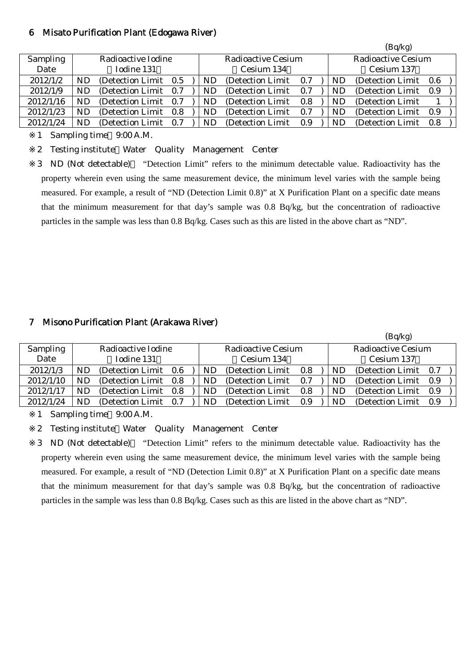#### 6 Misato Purification Plant (Edogawa River)

|                 |    |                       |     |                          |                    |     |  |    | (Bq/kg)            |     |  |
|-----------------|----|-----------------------|-----|--------------------------|--------------------|-----|--|----|--------------------|-----|--|
| <b>Sampling</b> |    | Radioactive Iodine    |     |                          | Radioactive Cesium |     |  |    | Radioactive Cesium |     |  |
| Date            |    | Iodine 131            |     | Cesium 134<br>Cesium 137 |                    |     |  |    |                    |     |  |
| 2012/1/2        | ND | (Detection Limit 0.5) |     | ND                       | (Detection Limit)  | 0.7 |  | ND | (Detection Limit)  | 0.6 |  |
| 2012/1/9        | ND | (Detection Limit)     | 0.7 | ND                       | (Detection Limit)  | 0.7 |  | ND | (Detection Limit)  | 0.9 |  |
| 2012/1/16       | ND | (Detection Limit)     | 0.7 | ND                       | (Detection Limit)  | 0.8 |  | ND | (Detection Limit)  |     |  |
| 2012/1/23       | ND | (Detection Limit 0.8) |     | ND                       | (Detection Limit)  | 0.7 |  | ND | (Detection Limit)  | 0.9 |  |
| 2012/1/24       | ND | (Detection Limit)     | 0.7 | ND                       | (Detection Limit)  | 0.9 |  | ND | (Detection Limit)  | 0.8 |  |

1 Sampling time 9:00 A.M.

2 Testing institute Water Quality Management Center

3 ND (Not detectable) "Detection Limit" refers to the minimum detectable value. Radioactivity has the property wherein even using the same measurement device, the minimum level varies with the sample being measured. For example, a result of "ND (Detection Limit 0.8)" at X Purification Plant on a specific date means that the minimum measurement for that day's sample was 0.8 Bq/kg, but the concentration of radioactive particles in the sample was less than 0.8 Bq/kg. Cases such as this are listed in the above chart as "ND".

#### 7 Misono Purification Plant (Arakawa River)

|                 | (Bq/kg)   |                       |  |     |                           |     |  |           |                    |       |  |
|-----------------|-----------|-----------------------|--|-----|---------------------------|-----|--|-----------|--------------------|-------|--|
| <b>Sampling</b> |           | Radioactive Iodine    |  |     | <b>Radioactive Cesium</b> |     |  |           | Radioactive Cesium |       |  |
| Date            |           | Iodine 131            |  |     | Cesium 134                |     |  |           | Cesium 137         |       |  |
| 2012/1/3        | <b>ND</b> | (Detection Limit 0.6) |  | ND. | (Detection Limit)         | 0.8 |  | <b>ND</b> | (Detection Limit)  | 0.7   |  |
| 2012/1/10       | ND        | (Detection Limit 0.8) |  | ND. | (Detection Limit)         | 0.7 |  | <b>ND</b> | (Detection Limit)  | - 0.9 |  |
| 2012/1/17       | ND        | (Detection Limit 0.8) |  | ND  | (Detection Limit)         | 0.8 |  | ND        | (Detection Limit)  | - 0.9 |  |
| 2012/1/24       | ND        | (Detection Limit 0.7) |  | ND. | (Detection Limit)         | 0.9 |  | ND        | (Detection Limit)  | - 0.9 |  |

1 Sampling time 9:00 A.M.

2 Testing institute Water Quality Management Center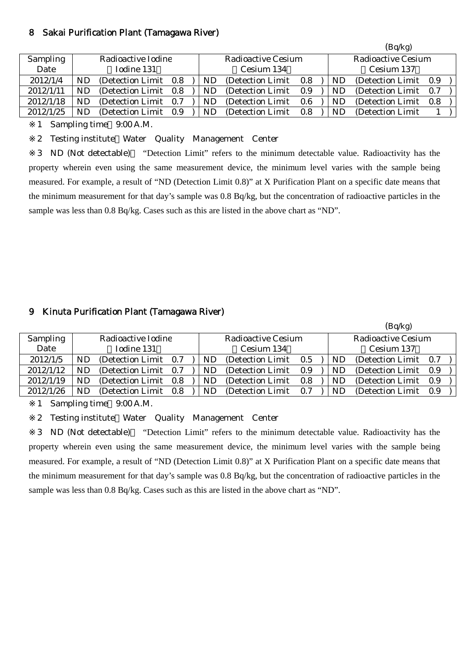#### 8 Sakai Purification Plant (Tamagawa River)

|                 |     |                       |     |    |                    |     |    | (Bq/kg)               |     |
|-----------------|-----|-----------------------|-----|----|--------------------|-----|----|-----------------------|-----|
| <b>Sampling</b> |     | Radioactive Iodine    |     |    | Radioactive Cesium |     |    | Radioactive Cesium    |     |
| Date            |     | Iodine 131            |     |    | Cesium 134         |     |    | Cesium 137            |     |
| 2012/1/4        | ND  | (Detection Limit 0.8) |     | ND | (Detection Limit)  | 0.8 | ND | (Detection Limit 0.9) |     |
| 2012/1/11       | ND  | (Detection Limit 0.8) |     | ND | (Detection Limit)  | 0.9 | ND | (Detection Limit 0.7) |     |
| 2012/1/18       | ND  | (Detection Limit)     | 0.7 | ND | (Detection Limit)  | 0.6 | ND | (Detection Limit)     | 0.8 |
| 2012/1/25       | ND. | (Detection Limit 0.9) |     | ND | (Detection Limit)  | 0.8 | ND | (Detection Limit)     |     |

1 Sampling time 9:00 A.M.

2 Testing institute Water Quality Management Center

3 ND (Not detectable) "Detection Limit" refers to the minimum detectable value. Radioactivity has the property wherein even using the same measurement device, the minimum level varies with the sample being measured. For example, a result of "ND (Detection Limit 0.8)" at X Purification Plant on a specific date means that the minimum measurement for that day's sample was 0.8 Bq/kg, but the concentration of radioactive particles in the sample was less than 0.8 Bq/kg. Cases such as this are listed in the above chart as "ND".

# 9 Kinuta Purification Plant (Tamagawa River)

|                 |                    |                       |  |                           |                   |     |  |                    | (~ T                  |     |  |
|-----------------|--------------------|-----------------------|--|---------------------------|-------------------|-----|--|--------------------|-----------------------|-----|--|
| <b>Sampling</b> | Radioactive Iodine |                       |  | <b>Radioactive Cesium</b> |                   |     |  | Radioactive Cesium |                       |     |  |
| Date            |                    | Iodine 131            |  |                           | Cesium 134        |     |  |                    | Cesium 137            |     |  |
| 2012/1/5        | ND                 | (Detection Limit 0.7  |  | ND                        | (Detection Limit) | 0.5 |  | ND                 | (Detection Limit 0.7) |     |  |
| 2012/1/12       | ND                 | (Detection Limit 0.7) |  | ND                        | (Detection Limit) | 0.9 |  | ND                 | (Detection Limit 0.9) |     |  |
| 2012/1/19       | ND                 | (Detection Limit 0.8  |  | ND                        | (Detection Limit) | 0.8 |  | ND                 | (Detection Limit)     | 0.9 |  |
| 2012/1/26       | ND                 | (Detection Limit 0.8) |  | ND                        | (Detection Limit) | 0.7 |  | ND                 | (Detection Limit 0.9) |     |  |
|                 |                    |                       |  |                           |                   |     |  |                    |                       |     |  |

 $(R_0/k_0)$ 

1 Sampling time 9:00 A.M.

2 Testing institute Water Quality Management Center